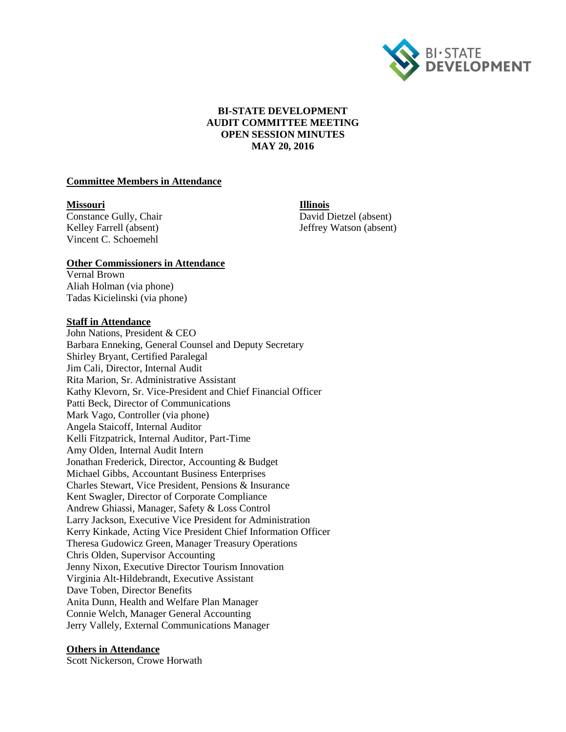

# **BI-STATE DEVELOPMENT AUDIT COMMITTEE MEETING OPEN SESSION MINUTES MAY 20, 2016**

#### **Committee Members in Attendance**

#### **Missouri Illinois**

**Constance Gully, Chair** David Dietzel (absent) Vincent C. Schoemehl

Kelley Farrell (absent) Jeffrey Watson (absent)

#### **Other Commissioners in Attendance**

Vernal Brown Aliah Holman (via phone) Tadas Kicielinski (via phone)

#### **Staff in Attendance**

John Nations, President & CEO Barbara Enneking, General Counsel and Deputy Secretary Shirley Bryant, Certified Paralegal Jim Cali, Director, Internal Audit Rita Marion, Sr. Administrative Assistant Kathy Klevorn, Sr. Vice-President and Chief Financial Officer Patti Beck, Director of Communications Mark Vago, Controller (via phone) Angela Staicoff, Internal Auditor Kelli Fitzpatrick, Internal Auditor, Part-Time Amy Olden, Internal Audit Intern Jonathan Frederick, Director, Accounting & Budget Michael Gibbs, Accountant Business Enterprises Charles Stewart, Vice President, Pensions & Insurance Kent Swagler, Director of Corporate Compliance Andrew Ghiassi, Manager, Safety & Loss Control Larry Jackson, Executive Vice President for Administration Kerry Kinkade, Acting Vice President Chief Information Officer Theresa Gudowicz Green, Manager Treasury Operations Chris Olden, Supervisor Accounting Jenny Nixon, Executive Director Tourism Innovation Virginia Alt-Hildebrandt, Executive Assistant Dave Toben, Director Benefits Anita Dunn, Health and Welfare Plan Manager Connie Welch, Manager General Accounting Jerry Vallely, External Communications Manager

#### **Others in Attendance**

Scott Nickerson, Crowe Horwath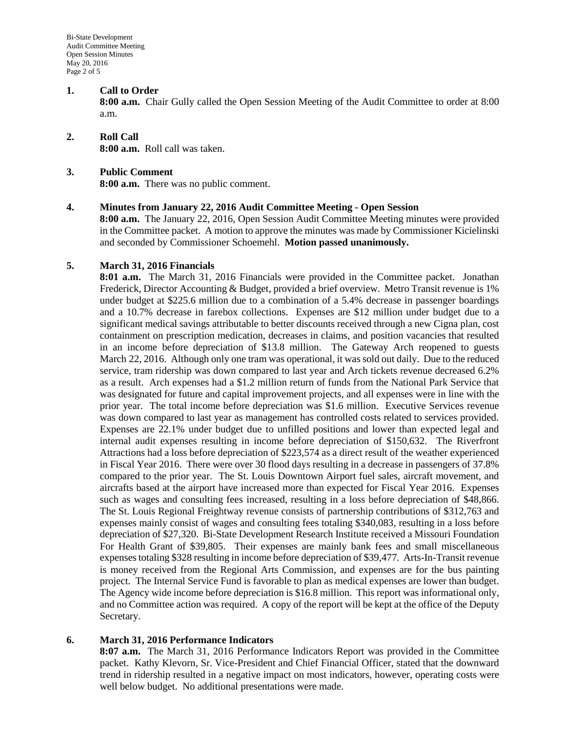### **1. Call to Order**

**8:00 a.m.** Chair Gully called the Open Session Meeting of the Audit Committee to order at 8:00 a.m.

### **2. Roll Call 8:00 a.m.** Roll call was taken.

#### **3. Public Comment**

**8:00 a.m.** There was no public comment.

#### **4. Minutes from January 22, 2016 Audit Committee Meeting - Open Session**

**8:00 a.m.** The January 22, 2016, Open Session Audit Committee Meeting minutes were provided in the Committee packet. A motion to approve the minutes was made by Commissioner Kicielinski and seconded by Commissioner Schoemehl. **Motion passed unanimously.**

# **5. March 31, 2016 Financials**

**8:01 a.m.** The March 31, 2016 Financials were provided in the Committee packet. Jonathan Frederick, Director Accounting & Budget, provided a brief overview. Metro Transit revenue is 1% under budget at \$225.6 million due to a combination of a 5.4% decrease in passenger boardings and a 10.7% decrease in farebox collections. Expenses are \$12 million under budget due to a significant medical savings attributable to better discounts received through a new Cigna plan, cost containment on prescription medication, decreases in claims, and position vacancies that resulted in an income before depreciation of \$13.8 million. The Gateway Arch reopened to guests March 22, 2016. Although only one tram was operational, it was sold out daily. Due to the reduced service, tram ridership was down compared to last year and Arch tickets revenue decreased 6.2% as a result. Arch expenses had a \$1.2 million return of funds from the National Park Service that was designated for future and capital improvement projects, and all expenses were in line with the prior year. The total income before depreciation was \$1.6 million. Executive Services revenue was down compared to last year as management has controlled costs related to services provided. Expenses are 22.1% under budget due to unfilled positions and lower than expected legal and internal audit expenses resulting in income before depreciation of \$150,632. The Riverfront Attractions had a loss before depreciation of \$223,574 as a direct result of the weather experienced in Fiscal Year 2016. There were over 30 flood days resulting in a decrease in passengers of 37.8% compared to the prior year. The St. Louis Downtown Airport fuel sales, aircraft movement, and aircrafts based at the airport have increased more than expected for Fiscal Year 2016. Expenses such as wages and consulting fees increased, resulting in a loss before depreciation of \$48,866. The St. Louis Regional Freightway revenue consists of partnership contributions of \$312,763 and expenses mainly consist of wages and consulting fees totaling \$340,083, resulting in a loss before depreciation of \$27,320. Bi-State Development Research Institute received a Missouri Foundation For Health Grant of \$39,805. Their expenses are mainly bank fees and small miscellaneous expenses totaling \$328 resulting in income before depreciation of \$39,477. Arts-In-Transit revenue is money received from the Regional Arts Commission, and expenses are for the bus painting project. The Internal Service Fund is favorable to plan as medical expenses are lower than budget. The Agency wide income before depreciation is \$16.8 million. This report was informational only, and no Committee action was required. A copy of the report will be kept at the office of the Deputy Secretary.

# **6. March 31, 2016 Performance Indicators**

**8:07 a.m.** The March 31, 2016 Performance Indicators Report was provided in the Committee packet. Kathy Klevorn, Sr. Vice-President and Chief Financial Officer, stated that the downward trend in ridership resulted in a negative impact on most indicators, however, operating costs were well below budget. No additional presentations were made.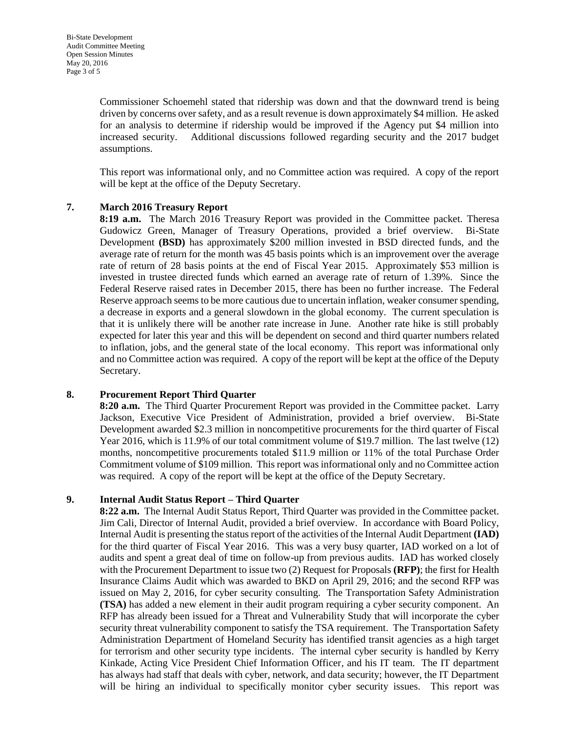Commissioner Schoemehl stated that ridership was down and that the downward trend is being driven by concerns over safety, and as a result revenue is down approximately \$4 million. He asked for an analysis to determine if ridership would be improved if the Agency put \$4 million into increased security. Additional discussions followed regarding security and the 2017 budget assumptions.

This report was informational only, and no Committee action was required. A copy of the report will be kept at the office of the Deputy Secretary.

# **7. March 2016 Treasury Report**

**8:19 a.m.** The March 2016 Treasury Report was provided in the Committee packet. Theresa Gudowicz Green, Manager of Treasury Operations, provided a brief overview. Bi-State Development **(BSD)** has approximately \$200 million invested in BSD directed funds, and the average rate of return for the month was 45 basis points which is an improvement over the average rate of return of 28 basis points at the end of Fiscal Year 2015. Approximately \$53 million is invested in trustee directed funds which earned an average rate of return of 1.39%. Since the Federal Reserve raised rates in December 2015, there has been no further increase. The Federal Reserve approach seems to be more cautious due to uncertain inflation, weaker consumer spending, a decrease in exports and a general slowdown in the global economy. The current speculation is that it is unlikely there will be another rate increase in June. Another rate hike is still probably expected for later this year and this will be dependent on second and third quarter numbers related to inflation, jobs, and the general state of the local economy. This report was informational only and no Committee action was required. A copy of the report will be kept at the office of the Deputy Secretary.

#### **8. Procurement Report Third Quarter**

**8:20 a.m.** The Third Quarter Procurement Report was provided in the Committee packet. Larry Jackson, Executive Vice President of Administration, provided a brief overview. Bi-State Development awarded \$2.3 million in noncompetitive procurements for the third quarter of Fiscal Year 2016, which is 11.9% of our total commitment volume of \$19.7 million. The last twelve (12) months, noncompetitive procurements totaled \$11.9 million or 11% of the total Purchase Order Commitment volume of \$109 million. This report was informational only and no Committee action was required. A copy of the report will be kept at the office of the Deputy Secretary.

# **9. Internal Audit Status Report – Third Quarter**

**8:22 a.m.** The Internal Audit Status Report, Third Quarter was provided in the Committee packet. Jim Cali, Director of Internal Audit, provided a brief overview. In accordance with Board Policy, Internal Audit is presenting the status report of the activities of the Internal Audit Department **(IAD)** for the third quarter of Fiscal Year 2016. This was a very busy quarter, IAD worked on a lot of audits and spent a great deal of time on follow-up from previous audits. IAD has worked closely with the Procurement Department to issue two (2) Request for Proposals **(RFP)**; the first for Health Insurance Claims Audit which was awarded to BKD on April 29, 2016; and the second RFP was issued on May 2, 2016, for cyber security consulting. The Transportation Safety Administration **(TSA)** has added a new element in their audit program requiring a cyber security component. An RFP has already been issued for a Threat and Vulnerability Study that will incorporate the cyber security threat vulnerability component to satisfy the TSA requirement. The Transportation Safety Administration Department of Homeland Security has identified transit agencies as a high target for terrorism and other security type incidents. The internal cyber security is handled by Kerry Kinkade, Acting Vice President Chief Information Officer, and his IT team. The IT department has always had staff that deals with cyber, network, and data security; however, the IT Department will be hiring an individual to specifically monitor cyber security issues. This report was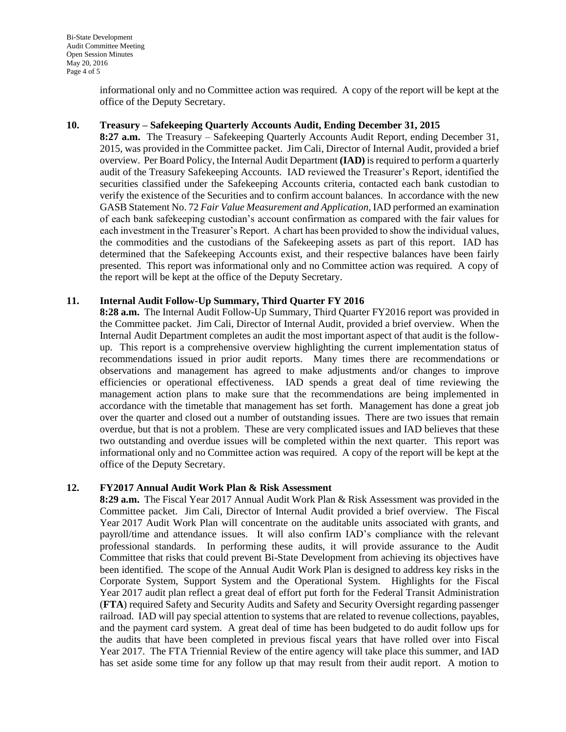informational only and no Committee action was required. A copy of the report will be kept at the office of the Deputy Secretary.

# **10. Treasury – Safekeeping Quarterly Accounts Audit, Ending December 31, 2015**

**8:27 a.m.** The Treasury – Safekeeping Quarterly Accounts Audit Report, ending December 31, 2015, was provided in the Committee packet. Jim Cali, Director of Internal Audit, provided a brief overview. Per Board Policy, the Internal Audit Department **(IAD)** is required to perform a quarterly audit of the Treasury Safekeeping Accounts. IAD reviewed the Treasurer's Report, identified the securities classified under the Safekeeping Accounts criteria, contacted each bank custodian to verify the existence of the Securities and to confirm account balances. In accordance with the new GASB Statement No. 72 *Fair Value Measurement and Application,* IAD performed an examination of each bank safekeeping custodian's account confirmation as compared with the fair values for each investment in the Treasurer's Report. A chart has been provided to show the individual values, the commodities and the custodians of the Safekeeping assets as part of this report. IAD has determined that the Safekeeping Accounts exist, and their respective balances have been fairly presented. This report was informational only and no Committee action was required. A copy of the report will be kept at the office of the Deputy Secretary.

#### **11. Internal Audit Follow-Up Summary, Third Quarter FY 2016**

**8:28 a.m.** The Internal Audit Follow-Up Summary, Third Quarter FY2016 report was provided in the Committee packet. Jim Cali, Director of Internal Audit, provided a brief overview. When the Internal Audit Department completes an audit the most important aspect of that audit is the followup. This report is a comprehensive overview highlighting the current implementation status of recommendations issued in prior audit reports. Many times there are recommendations or observations and management has agreed to make adjustments and/or changes to improve efficiencies or operational effectiveness. IAD spends a great deal of time reviewing the management action plans to make sure that the recommendations are being implemented in accordance with the timetable that management has set forth. Management has done a great job over the quarter and closed out a number of outstanding issues. There are two issues that remain overdue, but that is not a problem. These are very complicated issues and IAD believes that these two outstanding and overdue issues will be completed within the next quarter. This report was informational only and no Committee action was required. A copy of the report will be kept at the office of the Deputy Secretary.

# **12. FY2017 Annual Audit Work Plan & Risk Assessment**

**8:29 a.m.** The Fiscal Year 2017 Annual Audit Work Plan & Risk Assessment was provided in the Committee packet. Jim Cali, Director of Internal Audit provided a brief overview. The Fiscal Year 2017 Audit Work Plan will concentrate on the auditable units associated with grants, and payroll/time and attendance issues. It will also confirm IAD's compliance with the relevant professional standards. In performing these audits, it will provide assurance to the Audit Committee that risks that could prevent Bi-State Development from achieving its objectives have been identified. The scope of the Annual Audit Work Plan is designed to address key risks in the Corporate System, Support System and the Operational System. Highlights for the Fiscal Year 2017 audit plan reflect a great deal of effort put forth for the Federal Transit Administration (**FTA**) required Safety and Security Audits and Safety and Security Oversight regarding passenger railroad. IAD will pay special attention to systems that are related to revenue collections, payables, and the payment card system. A great deal of time has been budgeted to do audit follow ups for the audits that have been completed in previous fiscal years that have rolled over into Fiscal Year 2017. The FTA Triennial Review of the entire agency will take place this summer, and IAD has set aside some time for any follow up that may result from their audit report. A motion to